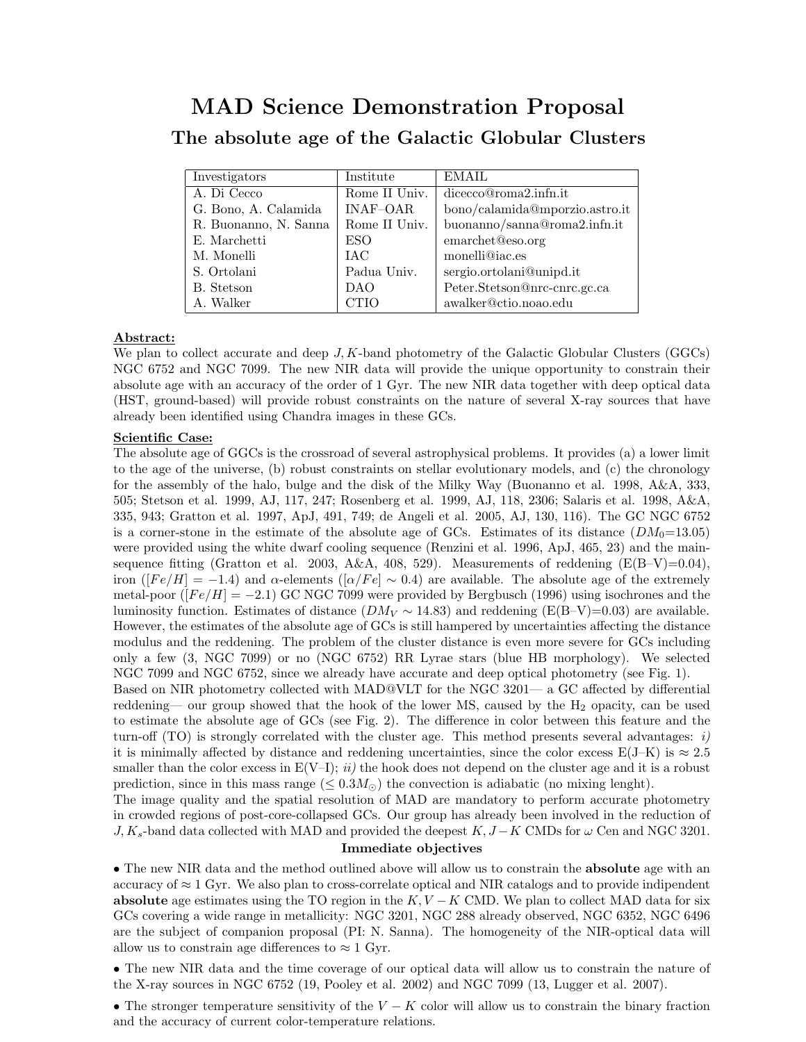## MAD Science Demonstration Proposal The absolute age of the Galactic Globular Clusters

| Investigators         | Institute       | EMAIL                          |
|-----------------------|-----------------|--------------------------------|
| A. Di Cecco           | Rome II Univ.   | dicecco@roma2.infn.it          |
| G. Bono, A. Calamida  | <b>INAF-OAR</b> | bono/calamida@mporzio.astro.it |
| R. Buonanno, N. Sanna | Rome II Univ.   | buonanno/sanna@roma2.infn.it   |
| E. Marchetti          | <b>ESO</b>      | emarchet@eso.org               |
| M. Monelli            | IAC             | monelli@iac.es                 |
| S. Ortolani           | Padua Univ.     | sergio.ortolani@unipd.it       |
| B. Stetson            | DAO.            | Peter.Stetson@nrc-cnrc.gc.ca   |
| A. Walker             | <b>CTIO</b>     | awalker@ctio.noao.edu          |

## Abstract:

We plan to collect accurate and deep  $J, K$ -band photometry of the Galactic Globular Clusters (GGCs) NGC 6752 and NGC 7099. The new NIR data will provide the unique opportunity to constrain their absolute age with an accuracy of the order of 1 Gyr. The new NIR data together with deep optical data (HST, ground-based) will provide robust constraints on the nature of several X-ray sources that have already been identified using Chandra images in these GCs.

## Scientific Case:

The absolute age of GGCs is the crossroad of several astrophysical problems. It provides (a) a lower limit to the age of the universe, (b) robust constraints on stellar evolutionary models, and (c) the chronology for the assembly of the halo, bulge and the disk of the Milky Way (Buonanno et al. 1998, A&A, 333, 505; Stetson et al. 1999, AJ, 117, 247; Rosenberg et al. 1999, AJ, 118, 2306; Salaris et al. 1998, A&A, 335, 943; Gratton et al. 1997, ApJ, 491, 749; de Angeli et al. 2005, AJ, 130, 116). The GC NGC 6752 is a corner-stone in the estimate of the absolute age of GCs. Estimates of its distance  $(DM_0=13.05)$ were provided using the white dwarf cooling sequence (Renzini et al. 1996, ApJ, 465, 23) and the mainsequence fitting (Gratton et al. 2003, A&A, 408, 529). Measurements of reddening (E(B–V)=0.04), iron ( $[Fe/H] = -1.4$ ) and  $\alpha$ -elements ( $[\alpha/Fe] \sim 0.4$ ) are available. The absolute age of the extremely metal-poor ( $[Fe/H] = -2.1$ ) GC NGC 7099 were provided by Bergbusch (1996) using isochrones and the luminosity function. Estimates of distance  $(DM_V \sim 14.83)$  and reddening (E(B–V)=0.03) are available. However, the estimates of the absolute age of GCs is still hampered by uncertainties affecting the distance modulus and the reddening. The problem of the cluster distance is even more severe for GCs including only a few (3, NGC 7099) or no (NGC 6752) RR Lyrae stars (blue HB morphology). We selected NGC 7099 and NGC 6752, since we already have accurate and deep optical photometry (see Fig. 1). Based on NIR photometry collected with MAD@VLT for the NGC 3201— a GC affected by differential reddening— our group showed that the hook of the lower MS, caused by the  $H_2$  opacity, can be used to estimate the absolute age of GCs (see Fig. 2). The difference in color between this feature and the turn-off (TO) is strongly correlated with the cluster age. This method presents several advantages:  $i$ ) it is minimally affected by distance and reddening uncertainties, since the color excess  $E(J-K)$  is  $\approx 2.5$ 

smaller than the color excess in  $E(V-I)$ ; ii) the hook does not depend on the cluster age and it is a robust prediction, since in this mass range  $(\leq 0.3 M_{\odot})$  the convection is adiabatic (no mixing lenght). The image quality and the spatial resolution of MAD are mandatory to perform accurate photometry in crowded regions of post-core-collapsed GCs. Our group has already been involved in the reduction of  $J, K_s$ -band data collected with MAD and provided the deepest  $K, J - K$  CMDs for  $\omega$  Cen and NGC 3201.

## Immediate objectives

• The new NIR data and the method outlined above will allow us to constrain the **absolute** age with an accuracy of  $\approx 1$  Gyr. We also plan to cross-correlate optical and NIR catalogs and to provide indipendent absolute age estimates using the TO region in the  $K, V - K$  CMD. We plan to collect MAD data for six GCs covering a wide range in metallicity: NGC 3201, NGC 288 already observed, NGC 6352, NGC 6496 are the subject of companion proposal (PI: N. Sanna). The homogeneity of the NIR-optical data will allow us to constrain age differences to  $\approx 1$  Gyr.

• The new NIR data and the time coverage of our optical data will allow us to constrain the nature of the X-ray sources in NGC 6752 (19, Pooley et al. 2002) and NGC 7099 (13, Lugger et al. 2007).

• The stronger temperature sensitivity of the  $V - K$  color will allow us to constrain the binary fraction and the accuracy of current color-temperature relations.